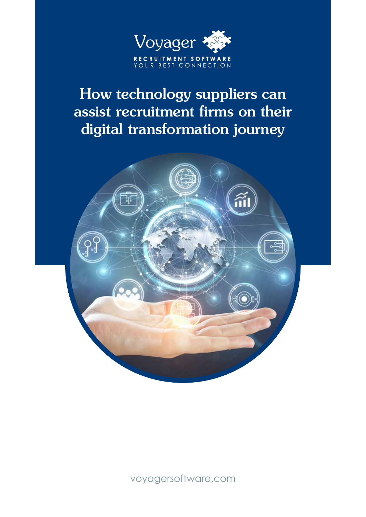

# How technology suppliers can assist recruitment firms on their digital transformation journey

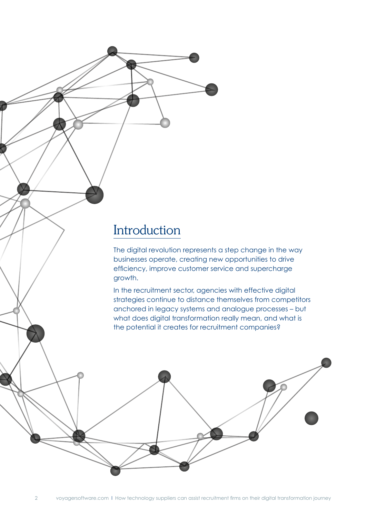### Introduction

The digital revolution represents a step change in the way businesses operate, creating new opportunities to drive efficiency, improve customer service and supercharge growth.

In the recruitment sector, agencies with effective digital strategies continue to distance themselves from competitors anchored in legacy systems and analogue processes – but what does digital transformation really mean, and what is the potential it creates for recruitment companies?

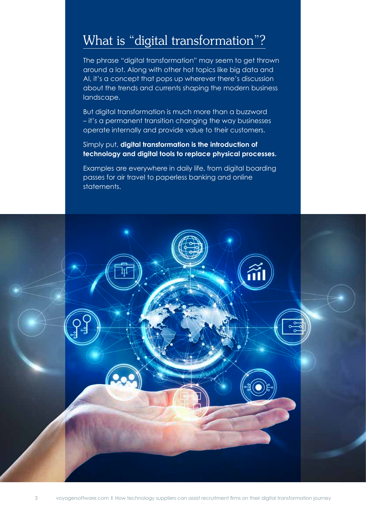#### What is "digital transformation"?

The phrase "digital transformation" may seem to get thrown around a lot. Along with other hot topics like big data and AI, it's a concept that pops up wherever there's discussion about the trends and currents shaping the modern business landscape.

But digital transformation is much more than a buzzword – it's a permanent transition changing the way businesses operate internally and provide value to their customers.

Simply put, **digital transformation is the introduction of technology and digital tools to replace physical processes.** 

Examples are everywhere in daily life, from digital boarding passes for air travel to paperless banking and online statements.

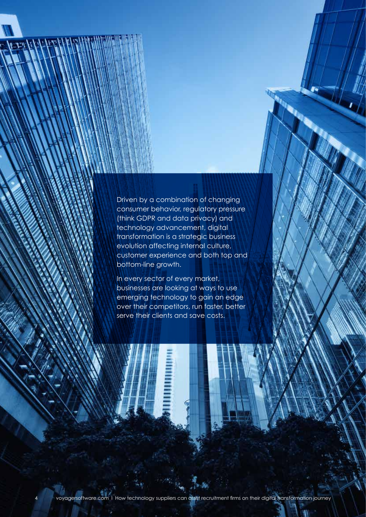Driven by a combination of changing consumer behavior, regulatory pressure (think GDPR and data privacy) and technology advancement, digital transformation is a strategic business evolution affecting internal culture, customer experience and both top and bottom-line growth.

In every sector of every market, businesses are looking at ways to use emerging technology to gain an edge over their competitors, run faster, better serve their clients and save costs.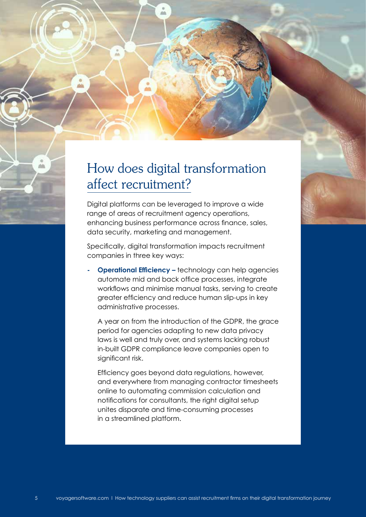## How does digital transformation affect recruitment?

dib

Digital platforms can be leveraged to improve a wide range of areas of recruitment agency operations, enhancing business performance across finance, sales, data security, marketing and management.

Specifically, digital transformation impacts recruitment companies in three key ways:

**Operational Efficiency –** technology can help agencies automate mid and back office processes, integrate workflows and minimise manual tasks, serving to create greater efficiency and reduce human slip-ups in key administrative processes.

A year on from the introduction of the GDPR, the grace period for agencies adapting to new data privacy laws is well and truly over, and systems lacking robust in-built GDPR compliance leave companies open to significant risk.

Efficiency goes beyond data regulations, however, and everywhere from managing contractor timesheets online to automating commission calculation and notifications for consultants, the right digital setup unites disparate and time-consuming processes in a streamlined platform.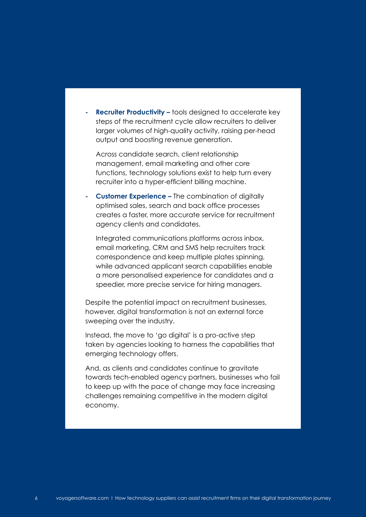**- Recruiter Productivity –** tools designed to accelerate key steps of the recruitment cycle allow recruiters to deliver larger volumes of high-quality activity, raising per-head output and boosting revenue generation.

Across candidate search, client relationship management, email marketing and other core functions, technology solutions exist to help turn every recruiter into a hyper-efficient billing machine.

**- Customer Experience –** The combination of digitally optimised sales, search and back office processes creates a faster, more accurate service for recruitment agency clients and candidates.

Integrated communications platforms across inbox, email marketing, CRM and SMS help recruiters track correspondence and keep multiple plates spinning, while advanced applicant search capabilities enable a more personalised experience for candidates and a speedier, more precise service for hiring managers.

Despite the potential impact on recruitment businesses, however, digital transformation is not an external force sweeping over the industry.

Instead, the move to 'go digital' is a pro-active step taken by agencies looking to harness the capabilities that emerging technology offers.

And, as clients and candidates continue to gravitate towards tech-enabled agency partners, businesses who fail to keep up with the pace of change may face increasing challenges remaining competitive in the modern digital economy.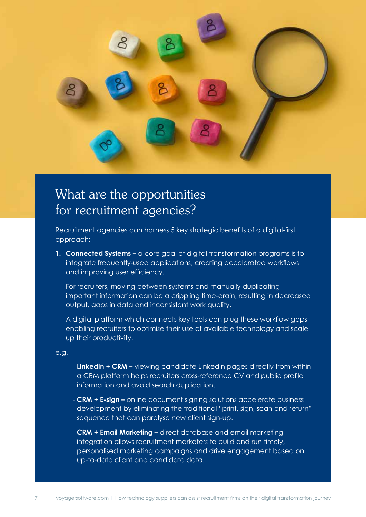

### What are the opportunities for recruitment agencies?

Recruitment agencies can harness 5 key strategic benefits of a digital-first approach:

**1. Connected Systems –** a core goal of digital transformation programs is to integrate frequently-used applications, creating accelerated workflows and improving user efficiency.

For recruiters, moving between systems and manually duplicating important information can be a crippling time-drain, resulting in decreased output, gaps in data and inconsistent work quality.

A digital platform which connects key tools can plug these workflow gaps, enabling recruiters to optimise their use of available technology and scale up their productivity.

- **LinkedIn + CRM –** viewing candidate LinkedIn pages directly from within a CRM platform helps recruiters cross-reference CV and public profile information and avoid search duplication.
- **CRM + E-sign –** online document signing solutions accelerate business development by eliminating the traditional "print, sign, scan and return" sequence that can paralyse new client sign-up.
- **CRM + Email Marketing –** direct database and email marketing integration allows recruitment marketers to build and run timely, personalised marketing campaigns and drive engagement based on up-to-date client and candidate data.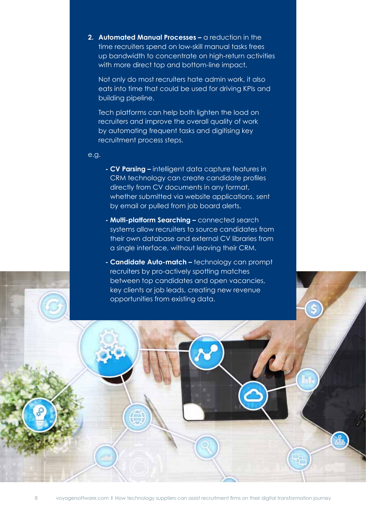**2. Automated Manual Processes –** a reduction in the time recruiters spend on low-skill manual tasks frees up bandwidth to concentrate on high-return activities with more direct top and bottom-line impact,

Not only do most recruiters hate admin work, it also eats into time that could be used for driving KPIs and building pipeline.

Tech platforms can help both lighten the load on recruiters and improve the overall quality of work by automating frequent tasks and digitising key recruitment process steps.

- **CV Parsing –** intelligent data capture features in CRM technology can create candidate profiles directly from CV documents in any format, whether submitted via website applications, sent by email or pulled from job board alerts.
- **Multi-platform Searching –** connected search systems allow recruiters to source candidates from their own database and external CV libraries from a single interface, without leaving their CRM.
- **Candidate Auto-match –** technology can prompt recruiters by pro-actively spotting matches between top candidates and open vacancies, key clients or job leads, creating new revenue opportunities from existing data.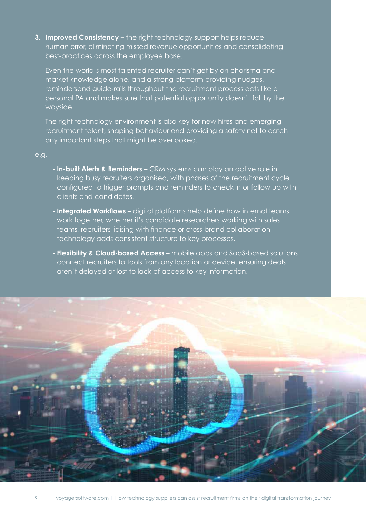**3. Improved Consistency –** the right technology support helps reduce human error, eliminating missed revenue opportunities and consolidating best-practices across the employee base.

Even the world's most talented recruiter can't get by on charisma and market knowledge alone, and a strong platform providing nudges, remindersand guide-rails throughout the recruitment process acts like a personal PA and makes sure that potential opportunity doesn't fall by the wayside.

The right technology environment is also key for new hires and emerging recruitment talent, shaping behaviour and providing a safety net to catch any important steps that might be overlooked.

- **In-built Alerts & Reminders –** CRM systems can play an active role in keeping busy recruiters organised, with phases of the recruitment cycle configured to trigger prompts and reminders to check in or follow up with clients and candidates.
- **Integrated Workflows –** digital platforms help define how internal teams work together, whether it's candidate researchers working with sales teams, recruiters liaising with finance or cross-brand collaboration, technology adds consistent structure to key processes.
- **Flexibility & Cloud-based Access –** mobile apps and SaaS-based solutions connect recruiters to tools from any location or device, ensuring deals aren't delayed or lost to lack of access to key information.

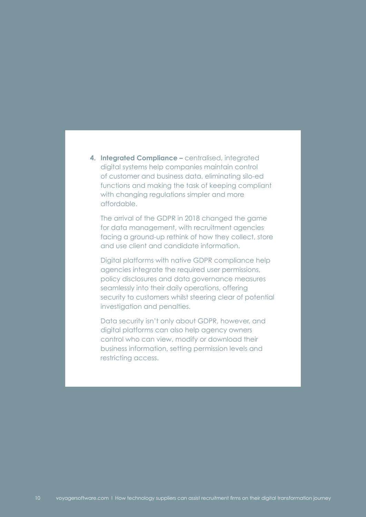**4. Integrated Compliance –** centralised, integrated digital systems help companies maintain control of customer and business data, eliminating silo-ed functions and making the task of keeping compliant with changing regulations simpler and more affordable.

The arrival of the GDPR in 2018 changed the game for data management, with recruitment agencies facing a ground-up rethink of how they collect, store and use client and candidate information.

Digital platforms with native GDPR compliance help agencies integrate the required user permissions, policy disclosures and data governance measures seamlessly into their daily operations, offering security to customers whilst steering clear of potential investigation and penalties.

Data security isn't only about GDPR, however, and digital platforms can also help agency owners control who can view, modify or download their business information, setting permission levels and restricting access.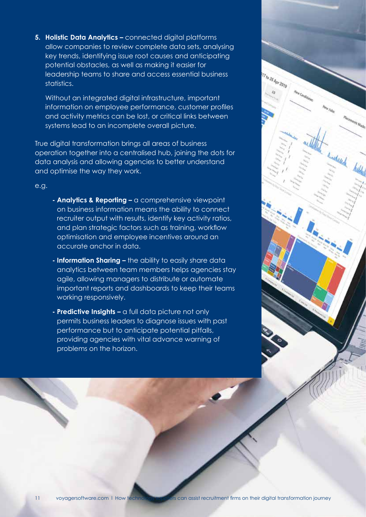**5. Holistic Data Analytics –** connected digital platforms allow companies to review complete data sets, analysing key trends, identifying issue root causes and anticipating potential obstacles, as well as making it easier for leadership teams to share and access essential business statistics.

Without an integrated digital infrastructure, important information on employee performance, customer profiles and activity metrics can be lost, or critical links between systems lead to an incomplete overall picture.

True digital transformation brings all areas of business operation together into a centralised hub, joining the dots for data analysis and allowing agencies to better understand and optimise the way they work.

- **Analytics & Reporting –** a comprehensive viewpoint on business information means the ability to connect recruiter output with results, identify key activity ratios, and plan strategic factors such as training, workflow optimisation and employee incentives around an accurate anchor in data.
- **Information Sharing –** the ability to easily share data analytics between team members helps agencies stay agile, allowing managers to distribute or automate important reports and dashboards to keep their teams working responsively.
- **Predictive Insights –** a full data picture not only permits business leaders to diagnose issues with past performance but to anticipate potential pitfalls, providing agencies with vital advance warning of problems on the horizon.